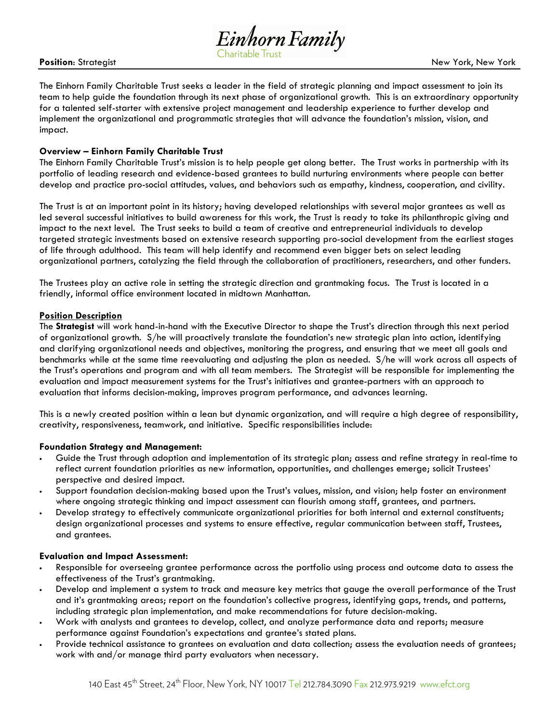

The Einhorn Family Charitable Trust seeks a leader in the field of strategic planning and impact assessment to join its team to help guide the foundation through its next phase of organizational growth. This is an extraordinary opportunity for a talented self-starter with extensive project management and leadership experience to further develop and implement the organizational and programmatic strategies that will advance the foundation's mission, vision, and impact.

## Overview – Einhorn Family Charitable Trust

The Einhorn Family Charitable Trust's mission is to help people get along better. The Trust works in partnership with its portfolio of leading research and evidence-based grantees to build nurturing environments where people can better develop and practice pro-social attitudes, values, and behaviors such as empathy, kindness, cooperation, and civility.

The Trust is at an important point in its history; having developed relationships with several major grantees as well as led several successful initiatives to build awareness for this work, the Trust is ready to take its philanthropic giving and impact to the next level. The Trust seeks to build a team of creative and entrepreneurial individuals to develop targeted strategic investments based on extensive research supporting pro-social development from the earliest stages of life through adulthood. This team will help identify and recommend even bigger bets on select leading organizational partners, catalyzing the field through the collaboration of practitioners, researchers, and other funders.

The Trustees play an active role in setting the strategic direction and grantmaking focus. The Trust is located in a friendly, informal office environment located in midtown Manhattan.

## Position Description

The Strategist will work hand-in-hand with the Executive Director to shape the Trust's direction through this next period of organizational growth. S/he will proactively translate the foundation's new strategic plan into action, identifying and clarifying organizational needs and objectives, monitoring the progress, and ensuring that we meet all goals and benchmarks while at the same time reevaluating and adjusting the plan as needed. S/he will work across all aspects of the Trust's operations and program and with all team members. The Strategist will be responsible for implementing the evaluation and impact measurement systems for the Trust's initiatives and grantee-partners with an approach to evaluation that informs decision-making, improves program performance, and advances learning.

This is a newly created position within a lean but dynamic organization, and will require a high degree of responsibility, creativity, responsiveness, teamwork, and initiative. Specific responsibilities include:

#### Foundation Strategy and Management:

- Guide the Trust through adoption and implementation of its strategic plan; assess and refine strategy in real-time to reflect current foundation priorities as new information, opportunities, and challenges emerge; solicit Trustees' perspective and desired impact.
- Support foundation decision-making based upon the Trust's values, mission, and vision; help foster an environment where ongoing strategic thinking and impact assessment can flourish among staff, grantees, and partners.
- Develop strategy to effectively communicate organizational priorities for both internal and external constituents; design organizational processes and systems to ensure effective, regular communication between staff, Trustees, and grantees.

#### Evaluation and Impact Assessment:

- Responsible for overseeing grantee performance across the portfolio using process and outcome data to assess the effectiveness of the Trust's grantmaking.
- Develop and implement a system to track and measure key metrics that gauge the overall performance of the Trust and it's grantmaking areas; report on the foundation's collective progress, identifying gaps, trends, and patterns, including strategic plan implementation, and make recommendations for future decision-making.
- Work with analysts and grantees to develop, collect, and analyze performance data and reports; measure performance against Foundation's expectations and grantee's stated plans.
- Provide technical assistance to grantees on evaluation and data collection; assess the evaluation needs of grantees; work with and/or manage third party evaluators when necessary.